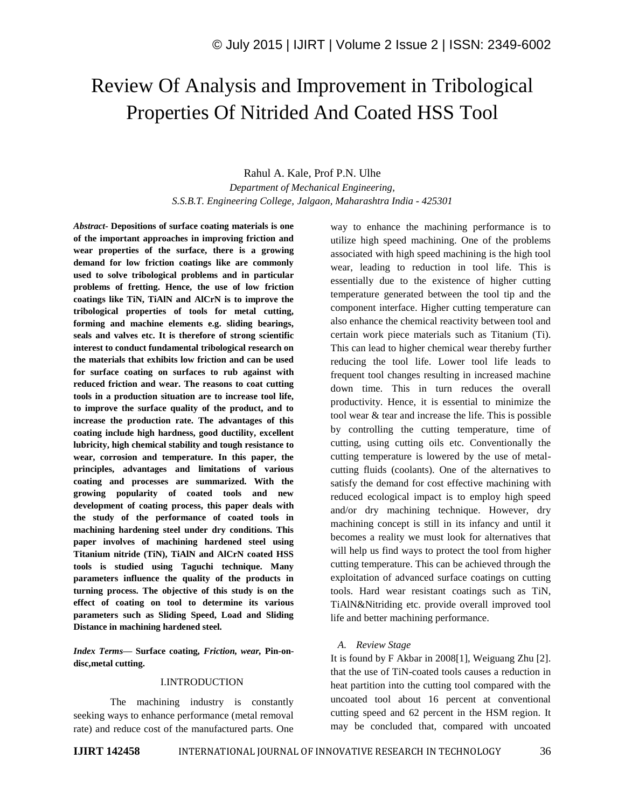# Review Of Analysis and Improvement in Tribological Properties Of Nitrided And Coated HSS Tool

Rahul A. Kale, Prof P.N. Ulhe

*Department of Mechanical Engineering, S.S.B.T. Engineering College, Jalgaon, Maharashtra India - 425301*

*Abstract-* **Depositions of surface coating materials is one of the important approaches in improving friction and wear properties of the surface, there is a growing demand for low friction coatings like are commonly used to solve tribological problems and in particular problems of fretting. Hence, the use of low friction coatings like TiN, TiAlN and AlCrN is to improve the tribological properties of tools for metal cutting, forming and machine elements e.g. sliding bearings, seals and valves etc. It is therefore of strong scientific interest to conduct fundamental tribological research on the materials that exhibits low friction and can be used for surface coating on surfaces to rub against with reduced friction and wear. The reasons to coat cutting tools in a production situation are to increase tool life, to improve the surface quality of the product, and to increase the production rate. The advantages of this coating include high hardness, good ductility, excellent lubricity, high chemical stability and tough resistance to wear, corrosion and temperature. In this paper, the principles, advantages and limitations of various coating and processes are summarized. With the growing popularity of coated tools and new development of coating process, this paper deals with the study of the performance of coated tools in machining hardening steel under dry conditions. This paper involves of machining hardened steel using Titanium nitride (TiN), TiAlN and AlCrN coated HSS tools is studied using Taguchi technique. Many parameters influence the quality of the products in turning process. The objective of this study is on the effect of coating on tool to determine its various parameters such as Sliding Speed, Load and Sliding Distance in machining hardened steel.** 

*Index Terms—* **Surface coating***, Friction, wear,* **Pin-ondisc,metal cutting.**

#### I.INTRODUCTION

The machining industry is constantly seeking ways to enhance performance (metal removal rate) and reduce cost of the manufactured parts. One

way to enhance the machining performance is to utilize high speed machining. One of the problems associated with high speed machining is the high tool wear, leading to reduction in tool life. This is essentially due to the existence of higher cutting temperature generated between the tool tip and the component interface. Higher cutting temperature can also enhance the chemical reactivity between tool and certain work piece materials such as Titanium (Ti). This can lead to higher chemical wear thereby further reducing the tool life. Lower tool life leads to frequent tool changes resulting in increased machine down time. This in turn reduces the overall productivity. Hence, it is essential to minimize the tool wear & tear and increase the life. This is possible by controlling the cutting temperature, time of cutting, using cutting oils etc. Conventionally the cutting temperature is lowered by the use of metalcutting fluids (coolants). One of the alternatives to satisfy the demand for cost effective machining with reduced ecological impact is to employ high speed and/or dry machining technique. However, dry machining concept is still in its infancy and until it becomes a reality we must look for alternatives that will help us find ways to protect the tool from higher cutting temperature. This can be achieved through the exploitation of advanced surface coatings on cutting tools. Hard wear resistant coatings such as TiN, TiAlN&Nitriding etc. provide overall improved tool life and better machining performance.

#### *A. Review Stage*

It is found by F Akbar in 2008[1], Weiguang Zhu [2]. that the use of TiN-coated tools causes a reduction in heat partition into the cutting tool compared with the uncoated tool about 16 percent at conventional cutting speed and 62 percent in the HSM region. It may be concluded that, compared with uncoated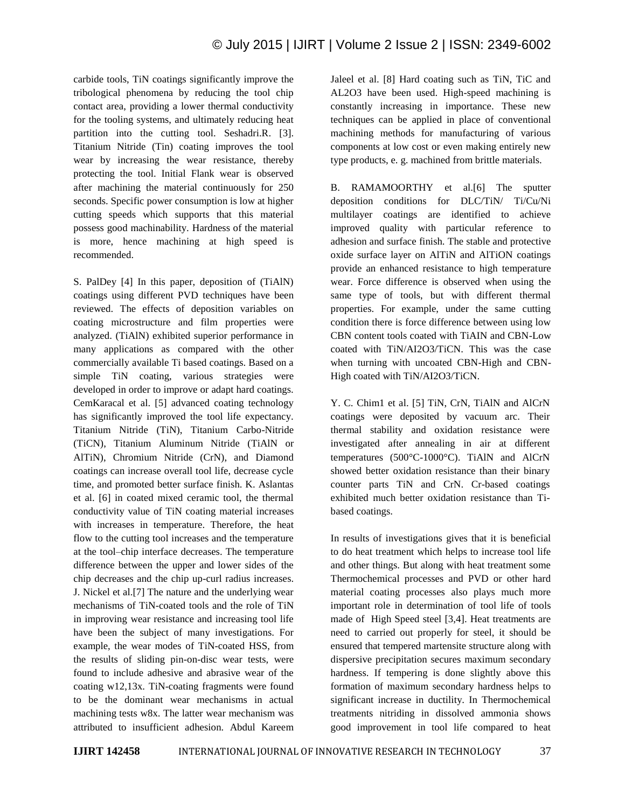carbide tools, TiN coatings significantly improve the tribological phenomena by reducing the tool chip contact area, providing a lower thermal conductivity for the tooling systems, and ultimately reducing heat partition into the cutting tool. Seshadri.R. [3]. Titanium Nitride (Tin) coating improves the tool wear by increasing the wear resistance, thereby protecting the tool. Initial Flank wear is observed after machining the material continuously for 250 seconds. Specific power consumption is low at higher cutting speeds which supports that this material possess good machinability. Hardness of the material is more, hence machining at high speed is recommended.

S. PalDey [4] In this paper, deposition of (TiAlN) coatings using different PVD techniques have been reviewed. The effects of deposition variables on coating microstructure and film properties were analyzed. (TiAlN) exhibited superior performance in many applications as compared with the other commercially available Ti based coatings. Based on a simple TiN coating, various strategies were developed in order to improve or adapt hard coatings. CemKaracal et al. [5] advanced coating technology has significantly improved the tool life expectancy. Titanium Nitride (TiN), Titanium Carbo-Nitride (TiCN), Titanium Aluminum Nitride (TiAlN or AlTiN), Chromium Nitride (CrN), and Diamond coatings can increase overall tool life, decrease cycle time, and promoted better surface finish. K. Aslantas et al. [6] in coated mixed ceramic tool, the thermal conductivity value of TiN coating material increases with increases in temperature. Therefore, the heat flow to the cutting tool increases and the temperature at the tool–chip interface decreases. The temperature difference between the upper and lower sides of the chip decreases and the chip up-curl radius increases. J. Nickel et al.[7] The nature and the underlying wear mechanisms of TiN-coated tools and the role of TiN in improving wear resistance and increasing tool life have been the subject of many investigations. For example, the wear modes of TiN-coated HSS, from the results of sliding pin-on-disc wear tests, were found to include adhesive and abrasive wear of the coating w12,13x. TiN-coating fragments were found to be the dominant wear mechanisms in actual machining tests w8x. The latter wear mechanism was attributed to insufficient adhesion. Abdul Kareem Jaleel et al. [8] Hard coating such as TiN, TiC and AL2O3 have been used. High-speed machining is constantly increasing in importance. These new techniques can be applied in place of conventional machining methods for manufacturing of various components at low cost or even making entirely new type products, e. g. machined from brittle materials.

B. RAMAMOORTHY et al.[6] The sputter deposition conditions for DLC/TiN/ Ti/Cu/Ni multilayer coatings are identified to achieve improved quality with particular reference to adhesion and surface finish. The stable and protective oxide surface layer on AlTiN and AlTiON coatings provide an enhanced resistance to high temperature wear. Force difference is observed when using the same type of tools, but with different thermal properties. For example, under the same cutting condition there is force difference between using low CBN content tools coated with TiAIN and CBN-Low coated with TiN/AI2O3/TiCN. This was the case when turning with uncoated CBN-High and CBN-High coated with TiN/AI2O3/TiCN.

Y. C. Chim1 et al. [5] TiN, CrN, TiAlN and AlCrN coatings were deposited by vacuum arc. Their thermal stability and oxidation resistance were investigated after annealing in air at different temperatures (500°C-1000°C). TiAlN and AlCrN showed better oxidation resistance than their binary counter parts TiN and CrN. Cr-based coatings exhibited much better oxidation resistance than Tibased coatings.

In results of investigations gives that it is beneficial to do heat treatment which helps to increase tool life and other things. But along with heat treatment some Thermochemical processes and PVD or other hard material coating processes also plays much more important role in determination of tool life of tools made of High Speed steel [3,4]. Heat treatments are need to carried out properly for steel, it should be ensured that tempered martensite structure along with dispersive precipitation secures maximum secondary hardness. If tempering is done slightly above this formation of maximum secondary hardness helps to significant increase in ductility. In Thermochemical treatments nitriding in dissolved ammonia shows good improvement in tool life compared to heat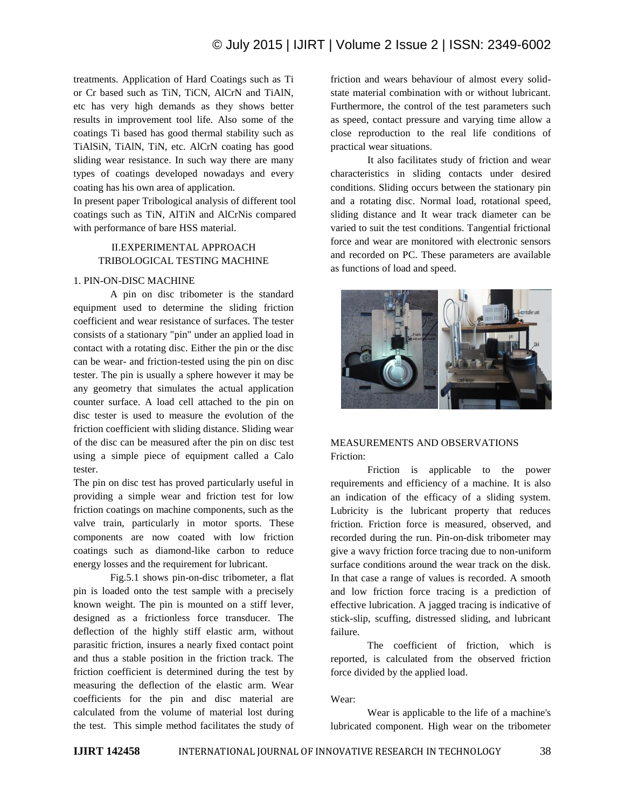treatments. Application of Hard Coatings such as Ti or Cr based such as TiN, TiCN, AlCrN and TiAlN, etc has very high demands as they shows better results in improvement tool life. Also some of the coatings Ti based has good thermal stability such as TiAlSiN, TiAlN, TiN, etc. AlCrN coating has good sliding wear resistance. In such way there are many types of coatings developed nowadays and every coating has his own area of application.

In present paper Tribological analysis of different tool coatings such as TiN, AlTiN and AlCrNis compared with performance of bare HSS material.

## II.EXPERIMENTAL APPROACH TRIBOLOGICAL TESTING MACHINE

#### 1. PIN-ON-DISC MACHINE

A pin on disc tribometer is the standard equipment used to determine the sliding friction coefficient and wear resistance of surfaces. The tester consists of a stationary "pin" under an applied load in contact with a rotating disc. Either the pin or the disc can be wear- and friction-tested using the pin on disc tester. The pin is usually a sphere however it may be any geometry that simulates the actual application counter surface. A load cell attached to the pin on disc tester is used to measure the evolution of the friction coefficient with sliding distance. Sliding wear of the disc can be measured after the pin on disc test using a simple piece of equipment called a Calo tester.

The pin on disc test has proved particularly useful in providing a simple wear and friction test for low friction coatings on machine components, such as the valve train, particularly in motor sports. These components are now coated with low friction coatings such as diamond-like carbon to reduce energy losses and the requirement for lubricant.

Fig.5.1 shows pin-on-disc tribometer, a flat pin is loaded onto the test sample with a precisely known weight. The pin is mounted on a stiff lever, designed as a frictionless force transducer. The deflection of the highly stiff elastic arm, without parasitic friction, insures a nearly fixed contact point and thus a stable position in the friction track. The friction coefficient is determined during the test by measuring the deflection of the elastic arm. Wear coefficients for the pin and disc material are calculated from the volume of material lost during the test. This simple method facilitates the study of friction and wears behaviour of almost every solidstate material combination with or without lubricant. Furthermore, the control of the test parameters such as speed, contact pressure and varying time allow a close reproduction to the real life conditions of practical wear situations.

It also facilitates study of friction and wear characteristics in sliding contacts under desired conditions. Sliding occurs between the stationary pin and a rotating disc. Normal load, rotational speed, sliding distance and It wear track diameter can be varied to suit the test conditions. Tangential frictional force and wear are monitored with electronic sensors and recorded on PC. These parameters are available as functions of load and speed.



## MEASUREMENTS AND OBSERVATIONS Friction:

Friction is applicable to the power requirements and efficiency of a machine. It is also an indication of the efficacy of a sliding system. Lubricity is the lubricant property that reduces friction. Friction force is measured, observed, and recorded during the run. Pin-on-disk tribometer may give a wavy friction force tracing due to non-uniform surface conditions around the wear track on the disk. In that case a range of values is recorded. A smooth and low friction force tracing is a prediction of effective lubrication. A jagged tracing is indicative of stick-slip, scuffing, distressed sliding, and lubricant failure.

The coefficient of friction, which is reported, is calculated from the observed friction force divided by the applied load.

#### Wear:

Wear is applicable to the life of a machine's lubricated component. High wear on the tribometer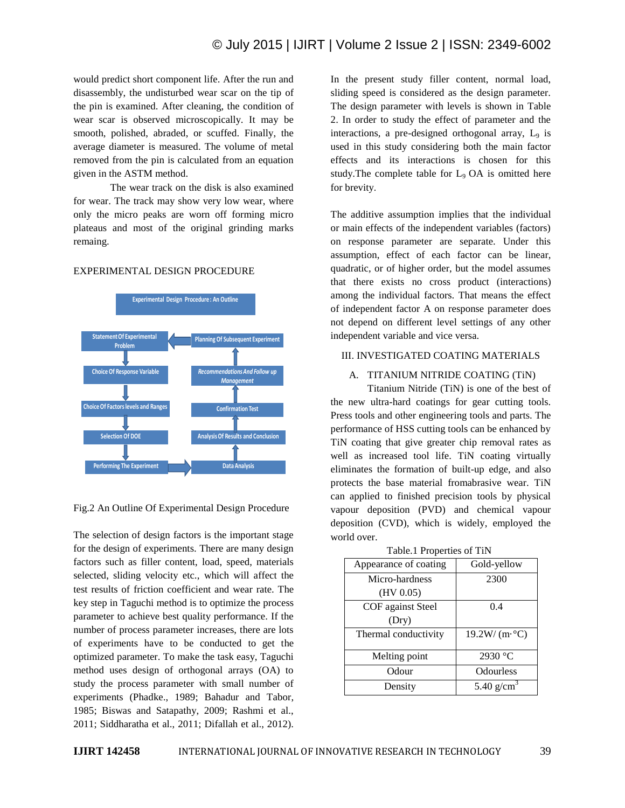would predict short component life. After the run and disassembly, the undisturbed wear scar on the tip of the pin is examined. After cleaning, the condition of wear scar is observed microscopically. It may be smooth, polished, abraded, or scuffed. Finally, the average diameter is measured. The volume of metal removed from the pin is calculated from an equation given in the ASTM method.

The wear track on the disk is also examined for wear. The track may show very low wear, where only the micro peaks are worn off forming micro plateaus and most of the original grinding marks remaing.

#### EXPERIMENTAL DESIGN PROCEDURE



Fig.2 An Outline Of Experimental Design Procedure

The selection of design factors is the important stage for the design of experiments. There are many design factors such as filler content, load, speed, materials selected, sliding velocity etc., which will affect the test results of friction coefficient and wear rate. The key step in Taguchi method is to optimize the process parameter to achieve best quality performance. If the number of process parameter increases, there are lots of experiments have to be conducted to get the optimized parameter. To make the task easy, Taguchi method uses design of orthogonal arrays (OA) to study the process parameter with small number of experiments (Phadke., 1989; Bahadur and Tabor, 1985; Biswas and Satapathy, 2009; Rashmi et al., 2011; Siddharatha et al., 2011; Difallah et al., 2012).

In the present study filler content, normal load, sliding speed is considered as the design parameter. The design parameter with levels is shown in Table 2. In order to study the effect of parameter and the interactions, a pre-designed orthogonal array,  $L<sub>9</sub>$  is used in this study considering both the main factor effects and its interactions is chosen for this study. The complete table for  $L_9$  OA is omitted here for brevity.

The additive assumption implies that the individual or main effects of the independent variables (factors) on response parameter are separate. Under this assumption, effect of each factor can be linear, quadratic, or of higher order, but the model assumes that there exists no cross product (interactions) among the individual factors. That means the effect of independent factor A on response parameter does not depend on different level settings of any other independent variable and vice versa.

#### III. INVESTIGATED COATING MATERIALS

### A. TITANIUM NITRIDE COATING (TiN)

Titanium Nitride (TiN) is one of the best of the new ultra-hard coatings for gear cutting tools. Press tools and other engineering tools and parts. The performance of HSS cutting tools can be enhanced by TiN coating that give greater chip removal rates as well as increased tool life. TiN coating virtually eliminates the formation of built-up edge, and also protects the base material fromabrasive wear. TiN can applied to finished precision tools by physical vapour deposition (PVD) and chemical vapour deposition (CVD), which is widely, employed the world over.

| Appearance of coating | Gold-yellow                  |
|-----------------------|------------------------------|
| Micro-hardness        | 2300                         |
| (HV 0.05)             |                              |
| COF against Steel     | 0.4                          |
| (Dry)                 |                              |
| Thermal conductivity  | $19.2 W/(m \cdot ^{\circ}C)$ |
| Melting point         | 2930 $\degree$ C             |
| Odour                 | Odourless                    |
| Density               | 5.40 $g/cm^{3}$              |

Table.1 Properties of TiN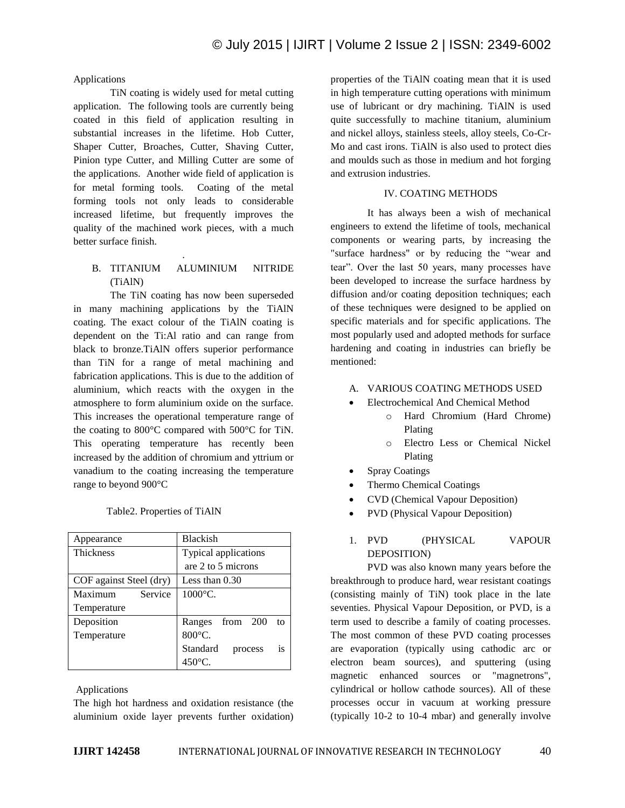## Applications

TiN coating is widely used for metal cutting application. The following tools are currently being coated in this field of application resulting in substantial increases in the lifetime. Hob Cutter, Shaper Cutter, Broaches, Cutter, Shaving Cutter, Pinion type Cutter, and Milling Cutter are some of the applications. Another wide field of application is for metal forming tools. Coating of the metal forming tools not only leads to considerable increased lifetime, but frequently improves the quality of the machined work pieces, with a much better surface finish.

# B. TITANIUM ALUMINIUM NITRIDE (TiAlN)

.

The TiN coating has now been superseded in many machining applications by the TiAlN coating. The exact colour of the TiAlN coating is dependent on the Ti:Al ratio and can range from black to bronze.TiAlN offers superior performance than TiN for a range of metal machining and fabrication applications. This is due to the addition of aluminium, which reacts with the oxygen in the atmosphere to form aluminium oxide on the surface. This increases the operational temperature range of the coating to 800°C compared with 500°C for TiN. This operating temperature has recently been increased by the addition of chromium and yttrium or vanadium to the coating increasing the temperature range to beyond 900°C

| Table2. Properties of TiAlN |
|-----------------------------|
|-----------------------------|

| Appearance              | <b>Blackish</b>           |
|-------------------------|---------------------------|
| <b>Thickness</b>        | Typical applications      |
|                         | are 2 to 5 microns        |
| COF against Steel (dry) | Less than $0.30$          |
| Service<br>Maximum      | $1000^{\circ}$ C.         |
| Temperature             |                           |
| Deposition              | from 200<br>Ranges<br>to  |
| Temperature             | $800^{\circ}$ C.          |
|                         | Standard<br>is<br>process |
|                         | $450^{\circ}$ C.          |

Applications

The high hot hardness and oxidation resistance (the aluminium oxide layer prevents further oxidation)

properties of the TiAlN coating mean that it is used in high temperature cutting operations with minimum use of lubricant or dry machining. TiAlN is used quite successfully to machine titanium, aluminium and nickel alloys, stainless steels, alloy steels, Co-Cr-Mo and cast irons. TiAlN is also used to protect dies and moulds such as those in medium and hot forging and extrusion industries.

## IV. COATING METHODS

It has always been a wish of mechanical engineers to extend the lifetime of tools, mechanical components or wearing parts, by increasing the "surface hardness" or by reducing the "wear and tear". Over the last 50 years, many processes have been developed to increase the surface hardness by diffusion and/or coating deposition techniques; each of these techniques were designed to be applied on specific materials and for specific applications. The most popularly used and adopted methods for surface hardening and coating in industries can briefly be mentioned:

- A. VARIOUS COATING METHODS USED
- Electrochemical And Chemical Method
	- o Hard Chromium (Hard Chrome) Plating
	- o Electro Less or Chemical Nickel Plating
- Spray Coatings
- Thermo Chemical Coatings
- CVD (Chemical Vapour Deposition)
- PVD (Physical Vapour Deposition)

# 1. PVD (PHYSICAL VAPOUR DEPOSITION)

PVD was also known many years before the breakthrough to produce hard, wear resistant coatings (consisting mainly of TiN) took place in the late seventies. Physical Vapour Deposition, or PVD, is a term used to describe a family of coating processes. The most common of these PVD coating processes are evaporation (typically using cathodic arc or electron beam sources), and sputtering (using magnetic enhanced sources or "magnetrons", cylindrical or hollow cathode sources). All of these processes occur in vacuum at working pressure (typically 10-2 to 10-4 mbar) and generally involve